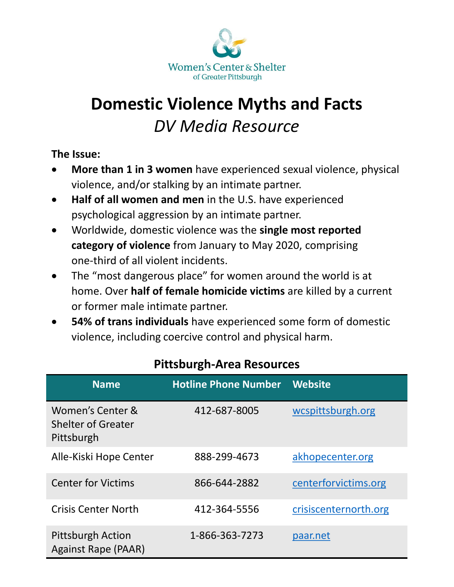

# **Domestic Violence Myths and Facts** *DV Media Resource*

#### **The Issue:**

- **More than 1 in 3 women** have experienced sexual violence, physical violence, and/or stalking by an intimate partner.
- **Half of all women and men** in the U.S. have experienced psychological aggression by an intimate partner.
- Worldwide, domestic violence was the **single most reported category of violence** from January to May 2020, comprising one-third of all violent incidents.
- The "most dangerous place" for women around the world is at home. Over **half of female homicide victims** are killed by a current or former male intimate partner.
- **54% of trans individuals** have experienced some form of domestic violence, including coercive control and physical harm.

| <b>Name</b>                                                 | <b>Hotline Phone Number</b> | <b>Website</b>        |
|-------------------------------------------------------------|-----------------------------|-----------------------|
| Women's Center &<br><b>Shelter of Greater</b><br>Pittsburgh | 412-687-8005                | wcspittsburgh.org     |
| Alle-Kiski Hope Center                                      | 888-299-4673                | akhopecenter.org      |
| <b>Center for Victims</b>                                   | 866-644-2882                | centerforvictims.org  |
| <b>Crisis Center North</b>                                  | 412-364-5556                | crisiscenternorth.org |
| <b>Pittsburgh Action</b><br><b>Against Rape (PAAR)</b>      | 1-866-363-7273              | paar.net              |

# **Pittsburgh-Area Resources**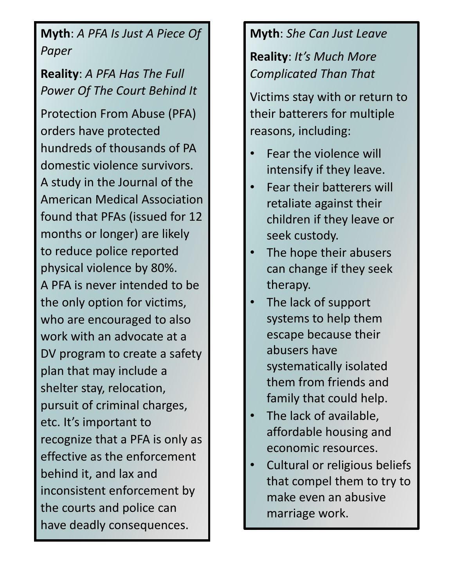**Myth**: *A PFA Is Just A Piece Of Paper* 

**Reality**: *A PFA Has The Full Power Of The Court Behind It* 

Protection From Abuse (PFA) orders have protected hundreds of thousands of PA domestic violence survivors. A study in the Journal of the American Medical Association found that PFAs (issued for 12 months or longer) are likely to reduce police reported physical violence by 80%. A PFA is never intended to be the only option for victims, who are encouraged to also work with an advocate at a DV program to create a safety plan that may include a shelter stay, relocation, pursuit of criminal charges, etc. It's important to recognize that a PFA is only as effective as the enforcement behind it, and lax and inconsistent enforcement by the courts and police can have deadly consequences.

## **Myth**: *She Can Just Leave*

**Reality**: *It's Much More Complicated Than That* 

Victims stay with or return to their batterers for multiple reasons, including:

- Fear the violence will intensify if they leave.
- Fear their batterers will retaliate against their children if they leave or seek custody.
- The hope their abusers can change if they seek therapy.
- The lack of support systems to help them escape because their abusers have systematically isolated them from friends and family that could help.
- The lack of available, affordable housing and economic resources.
- Cultural or religious beliefs that compel them to try to make even an abusive marriage work.